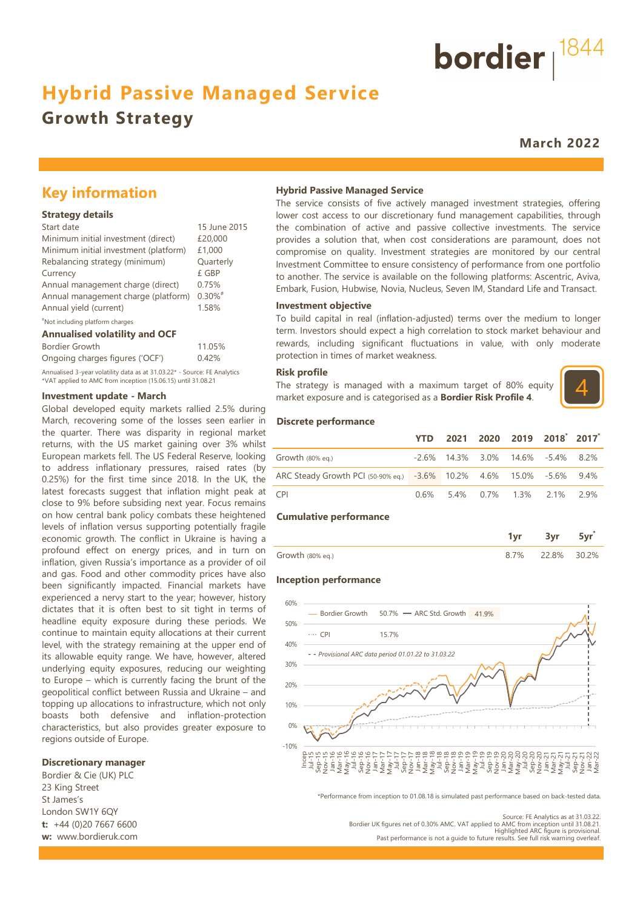## **Hybrid Passive Managed Service**

## **Growth Strategy**

**March 2022**

bordier  $1844$ 

## **Key information**

#### **Strategy details**

| Start date                            | 15 June 2015          |
|---------------------------------------|-----------------------|
| Minimum initial investment (direct)   | £20,000               |
| Minimum initial investment (platform) | £1,000                |
| Rebalancing strategy (minimum)        | Quarterly             |
| Currency                              | £ GBP                 |
| Annual management charge (direct)     | 0.75%                 |
| Annual management charge (platform)   | $0.30\%$ <sup>#</sup> |
| Annual yield (current)                | 1.58%                 |
| "Not including platform charges       |                       |

#### **Annualised volatility and OCF**

| Annualised volatility and OCF |  |  |
|-------------------------------|--|--|
|-------------------------------|--|--|

| Bordier Growth                                                           | 11.05% |
|--------------------------------------------------------------------------|--------|
| Ongoing charges figures ('OCF')                                          | 0.42%  |
| Annualised 3-year volatility data as at 31.03.22* - Source: FE Analytics |        |

\*VAT applied to AMC from inception (15.06.15) until 31.08.21

#### **Investment update - March**

Global developed equity markets rallied 2.5% during March, recovering some of the losses seen earlier in the quarter. There was disparity in regional market returns, with the US market gaining over 3% whilst European markets fell. The US Federal Reserve, looking to address inflationary pressures, raised rates (by 0.25%) for the first time since 2018. In the UK, the latest forecasts suggest that inflation might peak at close to 9% before subsiding next year. Focus remains on how central bank policy combats these heightened levels of inflation versus supporting potentially fragile economic growth. The conflict in Ukraine is having a profound effect on energy prices, and in turn on inflation, given Russia's importance as a provider of oil and gas. Food and other commodity prices have also been significantly impacted. Financial markets have experienced a nervy start to the year; however, history dictates that it is often best to sit tight in terms of headline equity exposure during these periods. We continue to maintain equity allocations at their current level, with the strategy remaining at the upper end of its allowable equity range. We have, however, altered underlying equity exposures, reducing our weighting to Europe – which is currently facing the brunt of the geopolitical conflict between Russia and Ukraine – and topping up allocations to infrastructure, which not only boasts both defensive and inflation-protection characteristics, but also provides greater exposure to regions outside of Europe.

#### **Discretionary manager**

Bordier & Cie (UK) PLC 23 King Street St James's London SW1Y 6QY **t:** +44 (0)20 7667 6600 **w:** www.bordieruk.com

#### **Hybrid Passive Managed Service**

The service consists of five actively managed investment strategies, offering lower cost access to our discretionary fund management capabilities, through the combination of active and passive collective investments. The service provides a solution that, when cost considerations are paramount, does not compromise on quality. Investment strategies are monitored by our central Investment Committee to ensure consistency of performance from one portfolio to another. The service is available on the following platforms: Ascentric, Aviva, Embark, Fusion, Hubwise, Novia, Nucleus, Seven IM, Standard Life and Transact.

#### **Investment objective**

To build capital in real (inflation-adjusted) terms over the medium to longer term. Investors should expect a high correlation to stock market behaviour and rewards, including significant fluctuations in value, with only moderate protection in times of market weakness.

#### **Risk profile**

The strategy is managed with a maximum target of 80% equity market exposure and is categorised as a **Bordier Risk Profile 4**.



#### **Discrete performance**

|                                                                      | YTD 2021 2020 2019 2018 2017            |  |  |
|----------------------------------------------------------------------|-----------------------------------------|--|--|
| Growth $(80\%$ eg.)                                                  | $-2.6\%$ 14.3% 3.0% 14.6% $-5.4\%$ 8.2% |  |  |
| ARC Steady Growth PCI (50-90% eq.) -3.6% 10.2% 4.6% 15.0% -5.6% 9.4% |                                         |  |  |
| <b>CPI</b>                                                           | $0.6\%$ 5.4% 0.7% 1.3% 2.1% 2.9%        |  |  |

#### **Cumulative performance**

|                  |     |       | <b>Contract Contract</b> |
|------------------|-----|-------|--------------------------|
| Growth (80% eq.) | ,טי | $8\%$ | クロンツー                    |

#### **Inception performance**



\*Performance from inception to 01.08.18 is simulated past performance based on back-tested data.

Source: FE Analytics as at 31.03.22.

Bordier UK figures net of 0.30% AMC. VAT applied to AMC from inception until 31.08.21.<br>Highlighted ARC figure is provisional.<br>Past performance is not a quide to future results. See full risk warning overleaf.